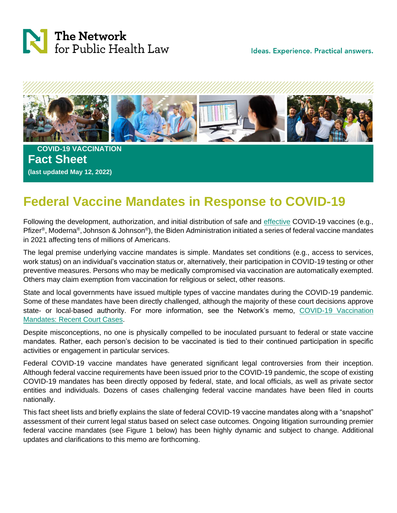

Ideas. Experience. Practical answers.



 **COVID-19 VACCINATION Fact Sheet (last updated May 12, 2022)**

# **Federal Vaccine Mandates in Response to COVID-19**

Following the development, authorization, and initial distribution of safe and effective COVID-19 vaccines (e.g., Pfizer®, Moderna®, Johnson & Johnson®), the Biden Administration initiated a series of federal vaccine mandates in 2021 affecting tens of millions of Americans.

The legal premise underlying vaccine mandates is simple. Mandates set conditions (e.g., access to services, work status) on an individual's vaccination status or, alternatively, their participation in COVID-19 testing or other preventive measures. Persons who may be medically compromised via vaccination are automatically exempted. Others may claim exemption from vaccination for religious or select, other reasons.

State and local governments have issued multiple types of vaccine mandates during the COVID-19 pandemic. Some of these mandates have been directly challenged, although the majority of these court decisions approve state- or local-based authority. For more information, see the Network's memo, [COVID-19 Vaccination](https://www.networkforphl.org/wp-content/uploads/2021/10/Western-Region-Memo-COVID-Vaccine-Mandate-Cases-1.pdf)  [Mandates: Recent Court Cases.](https://www.networkforphl.org/wp-content/uploads/2021/10/Western-Region-Memo-COVID-Vaccine-Mandate-Cases-1.pdf)

Despite misconceptions, no one is physically compelled to be inoculated pursuant to federal or state vaccine mandates. Rather, each person's decision to be vaccinated is tied to their continued participation in specific activities or engagement in particular services.

Federal COVID-19 vaccine mandates have generated significant legal controversies from their inception. Although federal vaccine requirements have been issued prior to the COVID-19 pandemic, the scope of existing COVID-19 mandates has been directly opposed by federal, state, and local officials, as well as private sector entities and individuals. Dozens of cases challenging federal vaccine mandates have been filed in courts nationally.

This fact sheet lists and briefly explains the slate of federal COVID-19 vaccine mandates along with a "snapshot" assessment of their current legal status based on select case outcomes. Ongoing litigation surrounding premier federal vaccine mandates (see Figure 1 below) has been highly dynamic and subject to change. Additional updates and clarifications to this memo are forthcoming.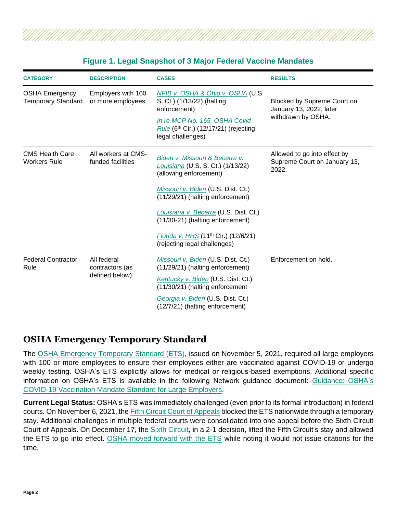| TANAN MAHAMAN MANAN MANAN MANAN MANAN MANAN MANAN MANAN MANAN MANAN MANAN MANAN MANAN MANAN MANAN MANAN MANAN |  |  |  |  |  |  |  |  |  |  |  |  |  |  |  |  |  |
|---------------------------------------------------------------------------------------------------------------|--|--|--|--|--|--|--|--|--|--|--|--|--|--|--|--|--|
| <b>Figure 1. Legal Snapshot of 3 Major Federal Vaccine Mandates</b>                                           |  |  |  |  |  |  |  |  |  |  |  |  |  |  |  |  |  |

| <b>CATEGORY</b>                                                                               | <b>DESCRIPTION</b> | <b>CASES</b>                                                                                                                                                                                                                                                                                                                             | <b>RESULTS</b>                                                               |  |  |  |
|-----------------------------------------------------------------------------------------------|--------------------|------------------------------------------------------------------------------------------------------------------------------------------------------------------------------------------------------------------------------------------------------------------------------------------------------------------------------------------|------------------------------------------------------------------------------|--|--|--|
| <b>OSHA Emergency</b><br>Employers with 100<br><b>Temporary Standard</b><br>or more employees |                    | NFIB v. OSHA & Ohio v. OSHA (U.S.<br>S. Ct.) (1/13/22) (halting<br>enforcement)<br>In re MCP No. 165, OSHA Covid<br>Rule (6 <sup>th</sup> Cir.) (12/17/21) (rejecting<br>legal challenges)                                                                                                                                               | Blocked by Supreme Court on<br>January 13, 2022; later<br>withdrawn by OSHA. |  |  |  |
| <b>CMS Health Care</b><br>All workers at CMS-<br>funded facilities<br><b>Workers Rule</b>     |                    | Biden v. Missouri & Becerra v.<br>Louisiana (U.S. S. Ct.) (1/13/22)<br>(allowing enforcement)<br>Missouri v. Biden (U.S. Dist. Ct.)<br>(11/29/21) (halting enforcement)<br>Louisiana v. Becerra (U.S. Dist. Ct.)<br>(11/30-21) (halting enforcement)<br>Florida v. HHS (11 <sup>th</sup> Cir.) (12/6/21)<br>(rejecting legal challenges) | Allowed to go into effect by<br>Supreme Court on January 13,<br>2022.        |  |  |  |
| <b>Federal Contractor</b><br>All federal<br>Rule<br>contractors (as<br>defined below)         |                    | Missouri v. Biden (U.S. Dist. Ct.)<br>(11/29/21) (halting enforcement)<br>Kentucky v. Biden (U.S. Dist. Ct.)<br>(11/30/21) (halting enforcement<br>Georgia v. Biden (U.S. Dist. Ct.)<br>(12/7/21) (halting enforcement)                                                                                                                  | Enforcement on hold.                                                         |  |  |  |

### **OSHA Emergency Temporary Standard**

The [OSHA Emergency Temporary Standard \(ETS\),](https://public-inspection.federalregister.gov/2021-23643.pdf) issued on November 5, 2021, required all large employers with 100 or more employees to ensure their employees either are vaccinated against COVID-19 or undergo weekly testing. OSHA's ETS explicitly allows for medical or religious-based exemptions. Additional specific information on OSHA's ETS is available in the following Network guidance document: [Guidance: OSHA's](https://www.networkforphl.org/wp-content/uploads/2021/12/Western-Region-Memo-COVID-OSHA-Vaccine-Mandate-FAQs-3.pdf)  [COVID-19 Vaccination Mandate Standard for Large Employers.](https://www.networkforphl.org/wp-content/uploads/2021/12/Western-Region-Memo-COVID-OSHA-Vaccine-Mandate-FAQs-3.pdf)

**Current Legal Status:** OSHA's ETS was immediately challenged (even prior to its formal introduction) in federal courts. On November 6, 2021, the [Fifth Circuit Court of Appeals](https://www.ca5.uscourts.gov/opinions/pub/21/21-60845-CV0.pdf) blocked the ETS nationwide through a temporary stay. Additional challenges in multiple federal courts were consolidated into one appeal before the Sixth Circuit Court of Appeals. On December 17, the [Sixth Circuit,](https://www.womblebonddickinson.com/sites/default/files/2021-12/OSHA_Sixth_Circuit_Decision.pdf) in a 2-1 decision, lifted the Fifth Circuit's stay and allowed the ETS to go into effect. [OSHA moved forward with the ETS](https://www.dol.gov/newsroom/releases/osha/osha20211218) while noting it would not issue citations for the time.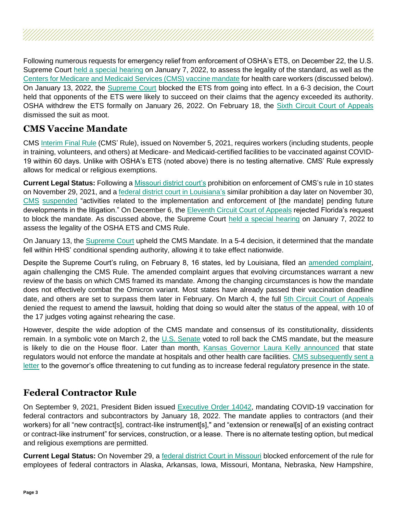Following numerous requests for emergency relief from enforcement of OSHA's ETS, on December 22, the U.S. Supreme Court [held a special hearing](https://www.supremecourt.gov/orders/courtorders/122221zr2_f20h.pdf) on January 7, 2022, to assess the legality of the standard, as well as the [Centers for Medicare and Medicaid Services \(CMS\) vaccine mandate](https://www.supremecourt.gov/orders/courtorders/122221zr1_d18e.pdf) for health care workers (discussed below). On January 13, 2022, the [Supreme Court](https://www.supremecourt.gov/opinions/21pdf/21a244_hgci.pdf) blocked the ETS from going into effect. In a 6-3 decision, the Court held that opponents of the ETS were likely to succeed on their claims that the agency exceeded its authority. OSHA withdrew the ETS formally on January 26, 2022. On February 18, the [Sixth Circuit Court of Appeals](https://www.bloomberglaw.com/public/desktop/document/MCPNo165OSHACovidRuleDocketNo21070006thCirNov182021CourtDocket/18?1645653148) dismissed the suit as moot.

# **CMS Vaccine Mandate**

CMS [Interim Final Rule](https://www.cms.gov/medicareprovider-enrollment-and-certificationsurveycertificationgeninfopolicy-and-memos-states-and/guidance-interim-final-rule-medicare-and-medicaid-programs-omnibus-covid-19-health-care-staff-0#:~:text=On%20November%2005%2C%202021%2C%20CMS,Medicaid%2Dcertified%20providers%20and%20suppliers.) (CMS' Rule), issued on November 5, 2021, requires workers (including students, people in training, volunteers, and others) at Medicare- and Medicaid-certified facilities to be vaccinated against COVID-19 within 60 days. Unlike with OSHA's ETS (noted above) there is no testing alternative. CMS' Rule expressly allows for medical or religious exemptions.

**Current Legal Status:** Following a [Missouri district court's](https://ago.mo.gov/docs/default-source/press-releases/cms-injunction.pdf) prohibition on enforcement of CMS's rule in 10 states on November 29, 2021, and a [federal district court in Louisiana'](https://images.magnetmail.net/images/clients/AHA_MCHF/attach/2021/CMSVaccineMandateLouisianaPIOrder.pdf)s similar prohibition a day later on November 30, [CMS](https://www.cms.gov/About-CMS/Agency-Information/Emergency/EPRO/Current-Emergencies/Current-Emergencies-page) [suspended](https://www.cms.gov/About-CMS/Agency-Information/Emergency/EPRO/Current-Emergencies/Current-Emergencies-page) "activities related to the implementation and enforcement of [the mandate] pending future developments in the litigation." On December 6, the [Eleventh Circuit Court of Appeals](https://media.ca11.uscourts.gov/opinions/pub/files/21-10498order.pdf) rejected Florida's request to block the mandate. As discussed above, the Supreme Court [held a special hearing](https://www.supremecourt.gov/orders/courtorders/122221zr2_f20h.pdf) on January 7, 2022 to assess the legality of the OSHA ETS and CMS Rule.

On January 13, the [Supreme Court](https://www.supremecourt.gov/opinions/21pdf/21a240_d18e.pdf) upheld the CMS Mandate. In a 5-4 decision, it determined that the mandate fell within HHS' conditional spending authority, allowing it to take effect nationwide.

Despite the Supreme Court's ruling, on February 8, 16 states, led by Louisiana, filed an [amended complaint,](http://www.ag.state.la.us/Files/Article/13000/Documents/CMSAmendedComplaint.pdf) again challenging the CMS Rule. The amended complaint argues that evolving circumstances warrant a new review of the basis on which CMS framed its mandate. Among the changing circumstances is how the mandate does not effectively combat the Omicron variant. Most states have already passed their vaccination deadline date, and others are set to surpass them later in February. On March 4, the full [5th Circuit Court of Appeals](https://www.law360.com/articles/1470660/attachments/0) denied the request to amend the lawsuit, holding that doing so would alter the status of the appeal, with 10 of the 17 judges voting against rehearing the case.

However, despite the wide adoption of the CMS mandate and consensus of its constitutionality, dissidents remain. In a symbolic vote on March 2, the U.S. [Senate](https://www.senate.gov/legislative/LIS/roll_call_votes/vote1172/vote_117_2_00067.htm) voted to roll back the CMS mandate, but the measure is likely to die on the House floor. Later than month, Kansas [Governor Laura Kelly announced](https://www.cjonline.com/story/news/coronavirus/2022/03/29/kansas-wont-enforce-cms-federal-covid-vaccine-mandate-health-care/7208824001/) that state regulators would not enforce the mandate at hospitals and other health care facilities. CMS subsequently sent a [letter](https://kdads.ks.gov/docs/librariesprovider17/survey-certification-and-credentialing-commission/nursing-home-regulations-and-state-statutes/cms-response-to-ks.pdf?sfvrsn=f23282b5_0) to the governor's office threatening to cut funding as to increase federal regulatory presence in the state.

# **Federal Contractor Rule**

On September 9, 2021, President Biden issued [Executive Order 14042,](https://www.whitehouse.gov/briefing-room/presidential-actions/2021/09/09/executive-order-on-ensuring-adequate-covid-safety-protocols-for-federal-contractors/) mandating COVID-19 vaccination for federal contractors and subcontractors by January 18, 2022. The mandate applies to contractors (and their workers) for all "new contract[s], contract-like instrument[s]," and "extension or renewal[s] of an existing contract or contract-like instrument" for services, construction, or a lease. There is no alternate testing option, but medical and religious exemptions are permitted.

**Current Legal Status:** On November 29, a [federal district Court in Missouri](https://casetext.com/case/missouri-v-biden-2) blocked enforcement of the rule for employees of federal contractors in Alaska, Arkansas, Iowa, Missouri, Montana, Nebraska, New Hampshire,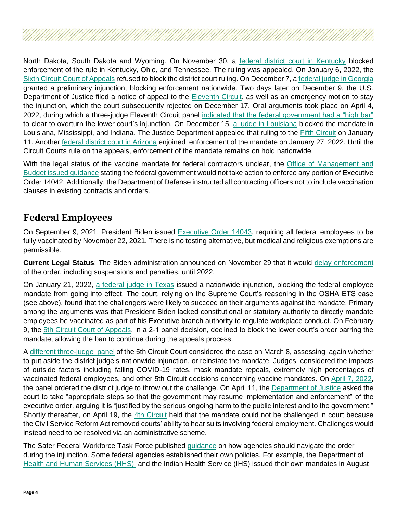North Dakota, South Dakota and Wyoming. On November 30, a [federal district court in Kentucky](https://www.pacermonitor.com/view/ZPS2UUY/Commonwealth_of_Kentucky_et_al_v_Biden_et_al__kyedce-21-00055__0050.0.pdf) blocked enforcement of the rule in Kentucky, Ohio, and Tennessee. The ruling was appealed. On January 6, 2022, the [Sixth Circuit Court of Appeals](https://www.opn.ca6.uscourts.gov/opinions.pdf/22a0002p-06.pdf) refused to block the district court ruling. On December 7, [a federal judge in Georgia](https://www.pacermonitor.com/view/KDQLKJY/The_State_of_Georgia_et_al_v_Biden_et_al__gasdce-21-00163__0094.0.pdf) granted a preliminary injunction, blocking enforcement nationwide. Two days later on December 9, the U.S. Department of Justice filed a notice of appeal to the [Eleventh Circuit,](https://www.bloomberglaw.com/public/desktop/document/TheStateofGeorgiaetalvBidenetalDocketNo121cv00163SDGaOct292021Cou/1?1639139948) as well as an emergency motion to stay the injunction, which the court subsequently rejected on December 17. Oral arguments took place on April 4, 2022, during which a three-judge Eleventh Circuit panel [indicated that the federal government had a "high bar"](https://federalnewsnetwork.com/contracting/2022/04/appeals-court-sees-high-bar-to-restoring-federal-contractor-vaccine-mandate/) to clear to overturn the lower court's injunction. On December 15, [a judge in Louisiana](https://aboutblaw.com/0Ue) blocked the mandate in Louisiana, Mississippi, and Indiana. The Justice Department appealed that ruling to the [Fifth Circuit](https://www.bloomberglaw.com/public/desktop/document/LouisianaetalvBidenetalDocketNo121cv03867WDLaNov042021CourtDocket/2?1642181703) on January 11. Another [federal district court in Arizona](https://www.bassberrygovcontrade.com/wp-content/uploads/sites/90/2022/01/Arizona-injunction.pdf) enjoined enforcement of the mandate on January 27, 2022. Until the Circuit Courts rule on the appeals, enforcement of the mandate remains on hold nationwide.

With the legal status of the vaccine mandate for federal contractors unclear, the Office of Management and [Budget issued guidance](https://www.saferfederalworkforce.gov/contractors/) stating the federal government would not take action to enforce any portion of Executive Order 14042. Additionally, the Department of Defense instructed all contracting officers not to include vaccination clauses in existing contracts and orders.

#### **Federal Employees**

On September 9, 2021, President Biden issued [Executive Order 14043,](https://www.whitehouse.gov/briefing-room/presidential-actions/2021/09/09/executive-order-on-requiring-coronavirus-disease-2019-vaccination-for-federal-employees/) requiring all federal employees to be fully vaccinated by November 22, 2021. There is no testing alternative, but medical and religious exemptions are permissible.

**Current Legal Status:** The Biden administration announced on November 29 that it would [delay enforcement](https://www.saferfederalworkforce.gov/faq/vaccinations/) of the order, including suspensions and penalties, until 2022.

On January 21, 2022, [a federal judge in Texas](https://storage.courtlistener.com/recap/gov.uscourts.txsd.1855108/gov.uscourts.txsd.1855108.36.0.pdf) issued a nationwide injunction, blocking the federal employee mandate from going into effect. The court, relying on the Supreme Court's reasoning in the OSHA ETS case (see above), found that the challengers were likely to succeed on their arguments against the mandate. Primary among the arguments was that President Biden lacked constitutional or statutory authority to directly mandate employees be vaccinated as part of his Executive branch authority to regulate workplace conduct. On February 9, the [5th Circuit Court of Appeals,](https://www.law360.com/articles/1463757/attachments/0) in a 2-1 panel decision, declined to block the lower court's order barring the mandate, allowing the ban to continue during the appeals process.

A [different three-judge panel](https://www.law360.com/articles/1471568/5th-circ-questions-basis-for-fed-worker-vax-mandate-freeze) of the 5th Circuit Court considered the case on March 8, assessing again whether to put aside the district judge's nationwide injunction, or reinstate the mandate. Judges considered the impacts of outside factors including falling COVID-19 rates, mask mandate repeals, extremely high percentages of vaccinated federal employees, and other 5th Circuit decisions concerning vaccine mandates. On [April 7, 2022,](https://www.ca5.uscourts.gov/opinions/pub/22/22-40043-CV1.pdf) the panel ordered the district judge to throw out the challenge. On April 11, the [Department of Justice](https://www.reuters.com/world/us/us-seeks-resume-enforcing-federal-employee-vaccine-mandate-2022-04-11/) asked the court to take "appropriate steps so that the government may resume implementation and enforcement" of the executive order, arguing it is "justified by the serious ongoing harm to the public interest and to the government." Shortly thereafter, on April 19, the [4th Circuit](https://www.bloomberglaw.com/document/X1Q6OD7IQ882?) held that the mandate could not be challenged in court because the Civil Service Reform Act removed courts' ability to hear suits involving federal employment. Challenges would instead need to be resolved via an administrative scheme.

The Safer Federal Workforce Task Force published [guidance](https://www.saferfederalworkforce.gov/downloads/FAQs_compliance_injunction_EO%2014043_20220124.pdf) on how agencies should navigate the order during the injunction. Some federal agencies established their own policies. For example, the Department of [Health and Human Services \(HHS\)](https://www.hhs.gov/about/news/2021/08/12/secretary-becerra-to-require-covid-19-vaccinations-for-hhs-health-care-workforce.html) and the Indian Health Service (IHS) issued their own mandates in August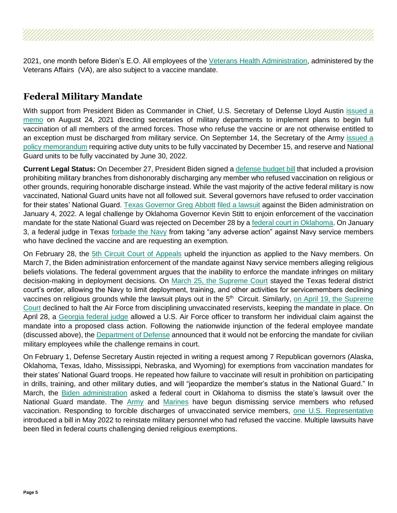2021, one month before Biden's E.O. All employees of the [Veterans Health Administration,](https://www.va.gov/opa/pressrel/pressrelease.cfm?id=5703#:~:text=All%20VA%20employees%20are%20eligible,VA%20COVID%2D19%20information%20page.) administered by the Veterans Affairs (VA), are also subject to a vaccine mandate.

# **Federal Military Mandate**

With support from President Biden as Commander in Chief, U.S. Secretary of Defense Lloyd Austin [issued a](https://media.defense.gov/2021/Aug/25/2002838826/-1/-1/0/MEMORANDUM-FOR-MANDATORY-CORONAVIRUS-DISEASE-2019-VACCINATION-OF-DEPARTMENT-OF-DEFENSE-SERVICE-MEMBERS.PDF)  [memo](https://media.defense.gov/2021/Aug/25/2002838826/-1/-1/0/MEMORANDUM-FOR-MANDATORY-CORONAVIRUS-DISEASE-2019-VACCINATION-OF-DEPARTMENT-OF-DEFENSE-SERVICE-MEMBERS.PDF) on August 24, 2021 directing secretaries of military departments to implement plans to begin full vaccination of all members of the armed forces. Those who refuse the vaccine or are not otherwise entitled to an exception must be discharged from military service. On September 14, the Secretary of the Army issued a [policy memorandum](https://www.army.mil/article/250277/army_announces_implementation_of_mandatory_vaccines_for_soldiers) requiring active duty units to be fully vaccinated by December 15, and reserve and National Guard units to be fully vaccinated by June 30, 2022.

**Current Legal Status:** On December 27, President Biden signed a [defense budget bill](https://www.congress.gov/bill/117th-congress/house-bill/4350/text) that included a provision prohibiting military branches from dishonorably discharging any member who refused vaccination on religious or other grounds, requiring honorable discharge instead. While the vast majority of the active federal military is now vaccinated, National Guard units have not all followed suit. Several governors have refused to order vaccination for their states' National Guard. [Texas](https://www.nbcdfw.com/news/local/texas-news/gov-abbott-refuses-dod-vaccine-mandate-for-national-guard-says-disciplined-members-can-blame-biden/2840194/) Governor Greg Abbott filed a [lawsuit](https://www.texasattorneygeneral.gov/sites/default/files/global/images/Abbott%20v%20Biden%20-%20Complaint.pdf?utm_content=&utm_medium=email&utm_name=&utm_source=govdelivery&utm_term=) against the Biden administration on January 4, 2022. A legal challenge by Oklahoma Governor Kevin Stitt to enjoin enforcement of the vaccination mandate for the state National Guard was rejected on December 28 by [a federal court in Oklahoma.](https://www.scribd.com/document/549844314/Oklahoma-National-Guard-ruling#download) On January 3, a federal judge in Texas forbade [the Navy](https://www.nytimes.com/2022/01/04/us/lawsuit-us-troops-vaccine-exemption.html) from taking "any adverse action" against Navy service members who have declined the vaccine and are requesting an exemption.

On February 28, the [5th Circuit Court of Appeals](https://www.bloomberglaw.com/document/XRN5GCJ0000N?) upheld the injunction as applied to the Navy members. On March 7, the Biden administration enforcement of the mandate against Navy service members alleging religious beliefs violations. The federal government argues that the inability to enforce the mandate infringes on military decision-making in deployment decisions. On [March 25, the Supreme Court](https://www.supremecourt.gov/opinions/21pdf/21a477_1bo2.pdf) stayed the Texas federal district court's order, allowing the Navy to limit deployment, training, and other activities for servicemembers declining vaccines on religious grounds while the lawsuit plays out in the 5<sup>th</sup> Circuit. Similarly, on April 19, the Supreme [Court](https://www.supremecourt.gov/orders/courtorders/041822zr_11o2.pdf) declined to halt the Air Force from disciplining unvaccinated reservists, keeping the mandate in place. On April 28, a [Georgia federal judge](https://www.law360.com/articles/1488247/attachments/0) allowed a U.S. Air Force officer to transform her individual claim against the mandate into a proposed class action. Following the nationwide injunction of the federal employee mandate (discussed above), the [Department of Defense](https://www.militarytimes.com/news/pentagon-congress/2022/01/27/dod-is-pausing-civilian-covid-vaccine-mandate-after-court-ruling/) announced that it would not be enforcing the mandate for civilian military employees while the challenge remains in court.

On February 1, Defense Secretary Austin rejected in writing a request among 7 Republican governors (Alaska, Oklahoma, Texas, Idaho, Mississippi, Nebraska, and Wyoming) for exemptions from vaccination mandates for their states' National Guard troops. He repeated how failure to vaccinate will result in prohibition on participating in drills, training, and other military duties, and will "jeopardize the member's status in the National Guard." In March, the [Biden administration](https://thehill.com/policy/defense/599849-biden-administration-asks-court-to-dismiss-oklahomas-lawsuit-over-national) asked a federal court in Oklahoma to dismiss the state's lawsuit over the National Guard mandate. The [Army](https://www.nytimes.com/2022/02/02/us/us-army-vaccine-mandate.html) and [Marines](https://www.nbcsandiego.com/news/local/military/469-marines-discharged-over-covid-vaccine-mandate/2859395/) have begun dismissing service members who refused vaccination. Responding to forcible discharges of unvaccinated service members, [one U.S. Representative](https://patch.com/new-jersey/pointpleasant/bill-would-force-military-reinstate-those-who-refused-covid-vaccine) introduced a bill in May 2022 to reinstate military personnel who had refused the vaccine. Multiple lawsuits have been filed in federal courts challenging denied religious exemptions.